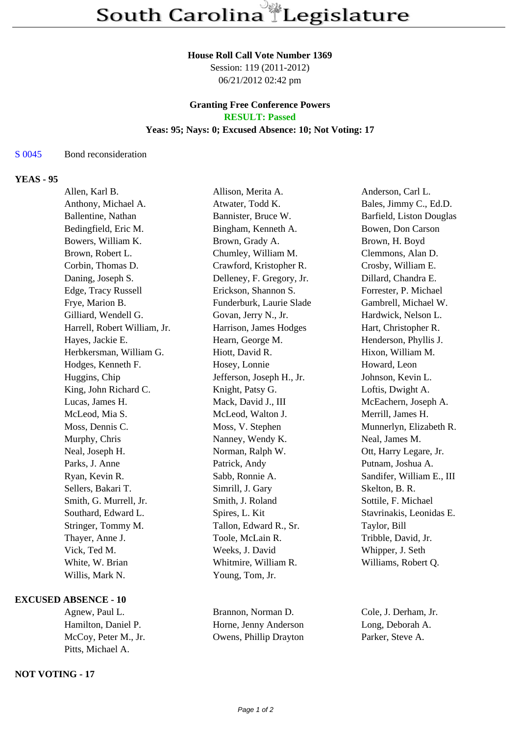#### **House Roll Call Vote Number 1369**

Session: 119 (2011-2012) 06/21/2012 02:42 pm

### **Granting Free Conference Powers RESULT: Passed**

### **Yeas: 95; Nays: 0; Excused Absence: 10; Not Voting: 17**

### S 0045 Bond reconsideration

# **YEAS - 95**

| Allen, Karl B.               | Allison, Merita A.        | Anderson, Carl L.         |
|------------------------------|---------------------------|---------------------------|
| Anthony, Michael A.          | Atwater, Todd K.          | Bales, Jimmy C., Ed.D.    |
| Ballentine, Nathan           | Bannister, Bruce W.       | Barfield, Liston Douglas  |
| Bedingfield, Eric M.         | Bingham, Kenneth A.       | Bowen, Don Carson         |
| Bowers, William K.           | Brown, Grady A.           | Brown, H. Boyd            |
| Brown, Robert L.             | Chumley, William M.       | Clemmons, Alan D.         |
| Corbin, Thomas D.            | Crawford, Kristopher R.   | Crosby, William E.        |
| Daning, Joseph S.            | Delleney, F. Gregory, Jr. | Dillard, Chandra E.       |
| Edge, Tracy Russell          | Erickson, Shannon S.      | Forrester, P. Michael     |
| Frye, Marion B.              | Funderburk, Laurie Slade  | Gambrell, Michael W.      |
| Gilliard, Wendell G.         | Govan, Jerry N., Jr.      | Hardwick, Nelson L.       |
| Harrell, Robert William, Jr. | Harrison, James Hodges    | Hart, Christopher R.      |
| Hayes, Jackie E.             | Hearn, George M.          | Henderson, Phyllis J.     |
| Herbkersman, William G.      | Hiott, David R.           | Hixon, William M.         |
| Hodges, Kenneth F.           | Hosey, Lonnie             | Howard, Leon              |
| Huggins, Chip                | Jefferson, Joseph H., Jr. | Johnson, Kevin L.         |
| King, John Richard C.        | Knight, Patsy G.          | Loftis, Dwight A.         |
| Lucas, James H.              | Mack, David J., III       | McEachern, Joseph A.      |
| McLeod, Mia S.               | McLeod, Walton J.         | Merrill, James H.         |
| Moss, Dennis C.              | Moss, V. Stephen          | Munnerlyn, Elizabeth R.   |
| Murphy, Chris                | Nanney, Wendy K.          | Neal, James M.            |
| Neal, Joseph H.              | Norman, Ralph W.          | Ott, Harry Legare, Jr.    |
| Parks, J. Anne               | Patrick, Andy             | Putnam, Joshua A.         |
| Ryan, Kevin R.               | Sabb, Ronnie A.           | Sandifer, William E., III |
| Sellers, Bakari T.           | Simrill, J. Gary          | Skelton, B. R.            |
| Smith, G. Murrell, Jr.       | Smith, J. Roland          | Sottile, F. Michael       |
| Southard, Edward L.          | Spires, L. Kit            | Stavrinakis, Leonidas E.  |
| Stringer, Tommy M.           | Tallon, Edward R., Sr.    | Taylor, Bill              |
| Thayer, Anne J.              | Toole, McLain R.          | Tribble, David, Jr.       |
| Vick, Ted M.                 | Weeks, J. David           | Whipper, J. Seth          |
| White, W. Brian              | Whitmire, William R.      | Williams, Robert Q.       |
| Willis, Mark N.              | Young, Tom, Jr.           |                           |
|                              |                           |                           |

### **EXCUSED ABSENCE - 10**

Pitts, Michael A.

## **NOT VOTING - 17**

Agnew, Paul L. Brannon, Norman D. Cole, J. Derham, Jr. Hamilton, Daniel P. Horne, Jenny Anderson Long, Deborah A. Owens, Phillip Drayton Parker, Steve A.